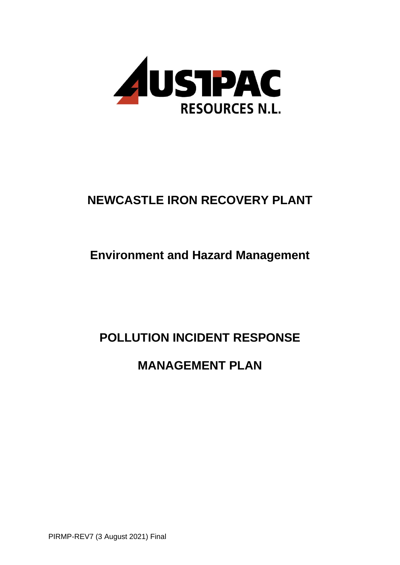

# **NEWCASTLE IRON RECOVERY PLANT**

## **Environment and Hazard Management**

## **POLLUTION INCIDENT RESPONSE**

## **MANAGEMENT PLAN**

PIRMP-REV7 (3 August 2021) Final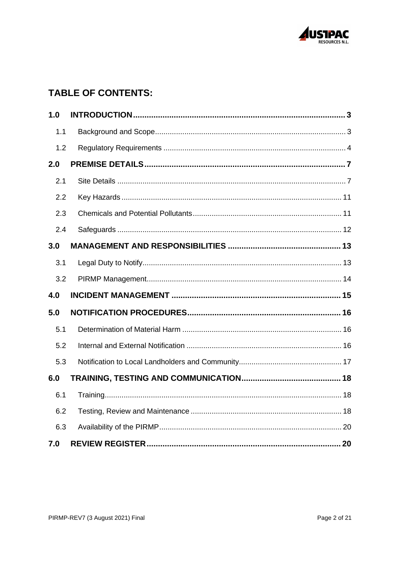

## **TABLE OF CONTENTS:**

<span id="page-1-0"></span>

| 1.0 |  |
|-----|--|
| 1.1 |  |
| 1.2 |  |
| 2.0 |  |
| 2.1 |  |
| 2.2 |  |
| 2.3 |  |
| 2.4 |  |
| 3.0 |  |
| 3.1 |  |
| 3.2 |  |
| 4.0 |  |
| 5.0 |  |
| 5.1 |  |
| 5.2 |  |
| 5.3 |  |
| 6.0 |  |
| 6.1 |  |
| 6.2 |  |
| 6.3 |  |
| 7.0 |  |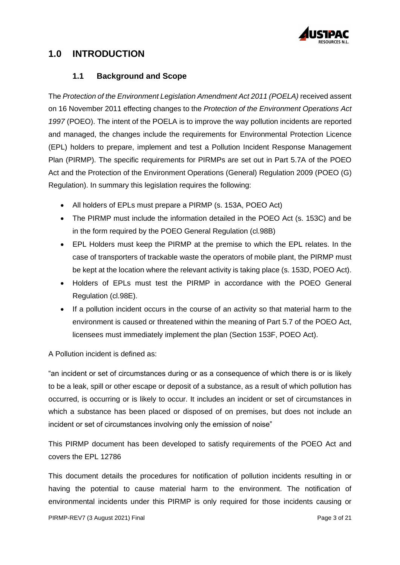

## **1.0 INTRODUCTION**

#### **1.1 Background and Scope**

<span id="page-2-0"></span>The *Protection of the Environment Legislation Amendment Act 2011 (POELA)* received assent on 16 November 2011 effecting changes to the *Protection of the Environment Operations Act 1997* (POEO). The intent of the POELA is to improve the way pollution incidents are reported and managed, the changes include the requirements for Environmental Protection Licence (EPL) holders to prepare, implement and test a Pollution Incident Response Management Plan (PIRMP). The specific requirements for PIRMPs are set out in Part 5.7A of the POEO Act and the Protection of the Environment Operations (General) Regulation 2009 (POEO (G) Regulation). In summary this legislation requires the following:

- All holders of EPLs must prepare a PIRMP (s. 153A, POEO Act)
- The PIRMP must include the information detailed in the POEO Act (s. 153C) and be in the form required by the POEO General Regulation (cl.98B)
- EPL Holders must keep the PIRMP at the premise to which the EPL relates. In the case of transporters of trackable waste the operators of mobile plant, the PIRMP must be kept at the location where the relevant activity is taking place (s. 153D, POEO Act).
- Holders of EPLs must test the PIRMP in accordance with the POEO General Regulation (cl.98E).
- If a pollution incident occurs in the course of an activity so that material harm to the environment is caused or threatened within the meaning of Part 5.7 of the POEO Act, licensees must immediately implement the plan (Section 153F, POEO Act).

A Pollution incident is defined as:

"an incident or set of circumstances during or as a consequence of which there is or is likely to be a leak, spill or other escape or deposit of a substance, as a result of which pollution has occurred, is occurring or is likely to occur. It includes an incident or set of circumstances in which a substance has been placed or disposed of on premises, but does not include an incident or set of circumstances involving only the emission of noise"

This PIRMP document has been developed to satisfy requirements of the POEO Act and covers the EPL 12786

This document details the procedures for notification of pollution incidents resulting in or having the potential to cause material harm to the environment. The notification of environmental incidents under this PIRMP is only required for those incidents causing or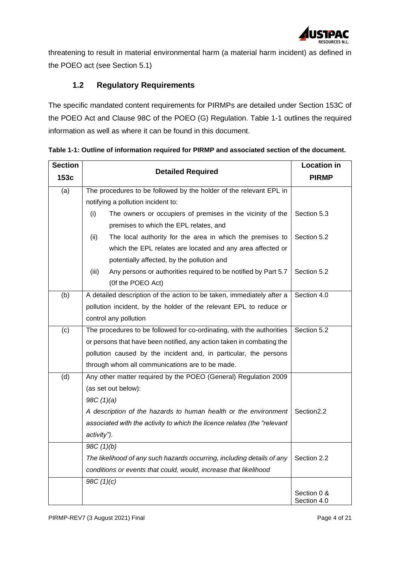

threatening to result in material environmental harm (a material harm incident) as defined in the POEO act (see Section [5.1\)](#page-15-0)

## **1.2 Regulatory Requirements**

<span id="page-3-0"></span>The specific mandated content requirements for PIRMPs are detailed under Section 153C of the POEO Act and Clause 98C of the POEO (G) Regulation. [Table 1-1](#page-3-1) outlines the required information as well as where it can be found in this document.

| <b>Section</b> |                                                                          | <b>Location in</b>         |
|----------------|--------------------------------------------------------------------------|----------------------------|
| 153c           | <b>Detailed Required</b>                                                 | <b>PIRMP</b>               |
| (a)            | The procedures to be followed by the holder of the relevant EPL in       |                            |
|                | notifying a pollution incident to:                                       |                            |
|                | (i)<br>The owners or occupiers of premises in the vicinity of the        | Section 5.3                |
|                | premises to which the EPL relates, and                                   |                            |
|                | The local authority for the area in which the premises to<br>(ii)        | Section 5.2                |
|                | which the EPL relates are located and any area affected or               |                            |
|                | potentially affected, by the pollution and                               |                            |
|                | (iii)<br>Any persons or authorities required to be notified by Part 5.7  | Section 5.2                |
|                | (Of the POEO Act)                                                        |                            |
| (b)            | A detailed description of the action to be taken, immediately after a    | Section 4.0                |
|                | pollution incident, by the holder of the relevant EPL to reduce or       |                            |
|                | control any pollution                                                    |                            |
| (c)            | The procedures to be followed for co-ordinating, with the authorities    | Section 5.2                |
|                | or persons that have been notified, any action taken in combating the    |                            |
|                | pollution caused by the incident and, in particular, the persons         |                            |
|                | through whom all communications are to be made.                          |                            |
| (d)            | Any other matter required by the POEO (General) Regulation 2009          |                            |
|                | (as set out below):                                                      |                            |
|                | 98C(1)(a)                                                                |                            |
|                | A description of the hazards to human health or the environment          | Section <sub>2.2</sub>     |
|                | associated with the activity to which the licence relates (the "relevant |                            |
|                | activity").                                                              |                            |
|                | 98C(1)(b)                                                                |                            |
|                | The likelihood of any such hazards occurring, including details of any   | Section 2.2                |
|                | conditions or events that could, would, increase that likelihood         |                            |
|                | 98C $(1)(c)$                                                             |                            |
|                |                                                                          | Section 0 &<br>Section 4.0 |

<span id="page-3-1"></span>**Table 1-1: Outline of information required for PIRMP and associated section of the document.**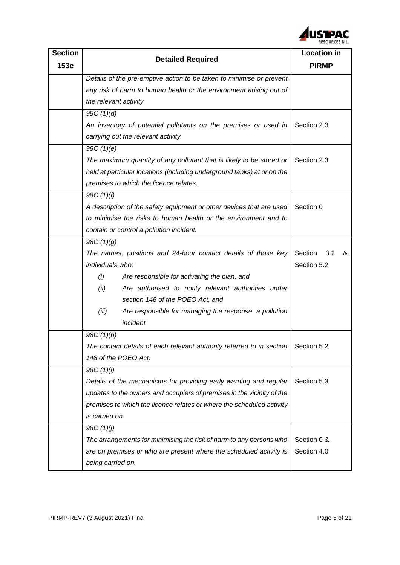

| <b>Section</b> |                                                                                     | <b>Location in</b>  |  |
|----------------|-------------------------------------------------------------------------------------|---------------------|--|
| 153c           | <b>Detailed Required</b>                                                            | <b>PIRMP</b>        |  |
|                | Details of the pre-emptive action to be taken to minimise or prevent                |                     |  |
|                | any risk of harm to human health or the environment arising out of                  |                     |  |
|                | the relevant activity                                                               |                     |  |
|                | 98C(1)(d)                                                                           |                     |  |
|                | An inventory of potential pollutants on the premises or used in                     | Section 2.3         |  |
|                | carrying out the relevant activity                                                  |                     |  |
|                | 98C(1)(e)                                                                           |                     |  |
|                | The maximum quantity of any pollutant that is likely to be stored or                | Section 2.3         |  |
|                | held at particular locations (including underground tanks) at or on the             |                     |  |
|                | premises to which the licence relates.                                              |                     |  |
|                | 98C(1)(f)                                                                           |                     |  |
|                | A description of the safety equipment or other devices that are used                | Section 0           |  |
|                | to minimise the risks to human health or the environment and to                     |                     |  |
|                | contain or control a pollution incident.                                            |                     |  |
|                | 98C(1)(g)                                                                           |                     |  |
|                | The names, positions and 24-hour contact details of those key                       | Section<br>3.2<br>& |  |
|                | individuals who:                                                                    | Section 5.2         |  |
|                | Are responsible for activating the plan, and<br>(i)                                 |                     |  |
|                | (ii)<br>Are authorised to notify relevant authorities under                         |                     |  |
|                | section 148 of the POEO Act, and                                                    |                     |  |
|                | (iii)<br>Are responsible for managing the response a pollution                      |                     |  |
|                | incident                                                                            |                     |  |
|                | 98C(1)(h)                                                                           |                     |  |
|                | The contact details of each relevant authority referred to in section   Section 5.2 |                     |  |
|                | 148 of the POEO Act.                                                                |                     |  |
|                | 98C (1)(i)                                                                          |                     |  |
|                | Details of the mechanisms for providing early warning and regular                   | Section 5.3         |  |
|                | updates to the owners and occupiers of premises in the vicinity of the              |                     |  |
|                | premises to which the licence relates or where the scheduled activity               |                     |  |
|                | is carried on.                                                                      |                     |  |
|                | 98C(1)(j)                                                                           |                     |  |
|                | The arrangements for minimising the risk of harm to any persons who                 | Section 0 &         |  |
|                | are on premises or who are present where the scheduled activity is                  | Section 4.0         |  |
|                | being carried on.                                                                   |                     |  |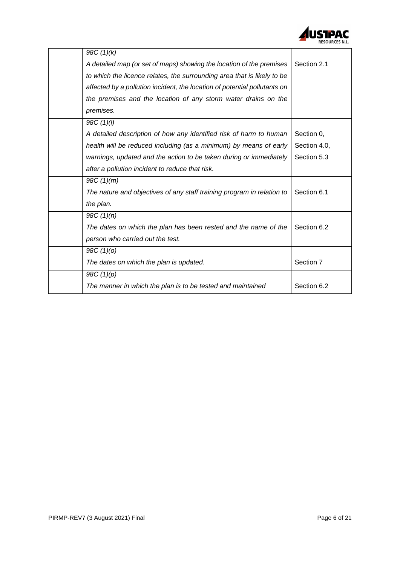

<span id="page-5-0"></span>

| 98C(1)(k)                                                                 |              |
|---------------------------------------------------------------------------|--------------|
| A detailed map (or set of maps) showing the location of the premises      | Section 2.1  |
| to which the licence relates, the surrounding area that is likely to be   |              |
| affected by a pollution incident, the location of potential pollutants on |              |
| the premises and the location of any storm water drains on the            |              |
| premises.                                                                 |              |
| 98C(1)(l)                                                                 |              |
| A detailed description of how any identified risk of harm to human        | Section 0,   |
| health will be reduced including (as a minimum) by means of early         | Section 4.0, |
| warnings, updated and the action to be taken during or immediately        | Section 5.3  |
| after a pollution incident to reduce that risk.                           |              |
| 98C(1)(m)                                                                 |              |
| The nature and objectives of any staff training program in relation to    | Section 6.1  |
| the plan.                                                                 |              |
| 98C(1)(n)                                                                 |              |
| The dates on which the plan has been rested and the name of the           | Section 6.2  |
| person who carried out the test.                                          |              |
| 98C(1)(0)                                                                 |              |
| The dates on which the plan is updated.                                   | Section 7    |
| 98C $(1)(p)$                                                              |              |
| The manner in which the plan is to be tested and maintained               | Section 6.2  |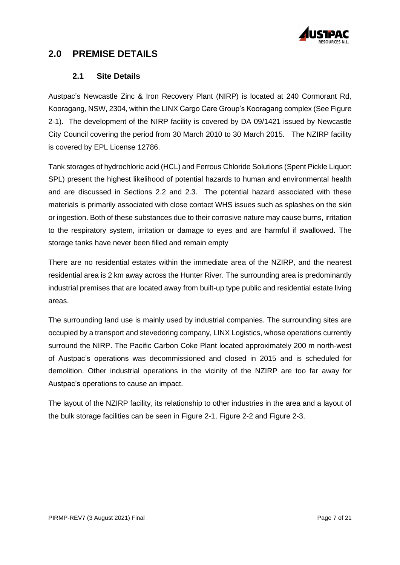

## **2.0 PREMISE DETAILS**

#### **2.1 Site Details**

<span id="page-6-0"></span>Austpac's Newcastle Zinc & Iron Recovery Plant (NIRP) is located at 240 Cormorant Rd, Kooragang, NSW, 2304, within the LINX Cargo Care Group's Kooragang complex (See [Figure](#page-7-0)  [2-1\)](#page-7-0). The development of the NIRP facility is covered by DA 09/1421 issued by Newcastle City Council covering the period from 30 March 2010 to 30 March 2015. The NZIRP facility is covered by EPL License 12786.

Tank storages of hydrochloric acid (HCL) and Ferrous Chloride Solutions (Spent Pickle Liquor: SPL) present the highest likelihood of potential hazards to human and environmental health and are discussed in Sections [2.2](#page-10-0) and [2.3.](#page-10-1) The potential hazard associated with these materials is primarily associated with close contact WHS issues such as splashes on the skin or ingestion. Both of these substances due to their corrosive nature may cause burns, irritation to the respiratory system, irritation or damage to eyes and are harmful if swallowed. The storage tanks have never been filled and remain empty

There are no residential estates within the immediate area of the NZIRP, and the nearest residential area is 2 km away across the Hunter River. The surrounding area is predominantly industrial premises that are located away from built-up type public and residential estate living areas.

The surrounding land use is mainly used by industrial companies. The surrounding sites are occupied by a transport and stevedoring company, LINX Logistics, whose operations currently surround the NIRP. The Pacific Carbon Coke Plant located approximately 200 m north-west of Austpac's operations was decommissioned and closed in 2015 and is scheduled for demolition. Other industrial operations in the vicinity of the NZIRP are too far away for Austpac's operations to cause an impact.

The layout of the NZIRP facility, its relationship to other industries in the area and a layout of the bulk storage facilities can be seen in [Figure 2-1,](#page-7-0) [Figure 2-2](#page-8-0) and [Figure 2-3.](#page-9-0)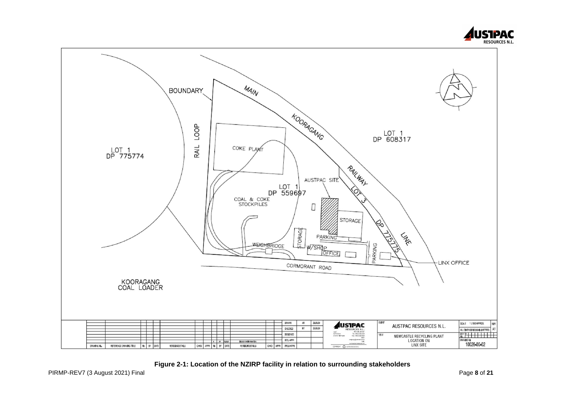



<span id="page-7-0"></span>**Figure 2-1: Location of the NZIRP facility in relation to surrounding stakeholders**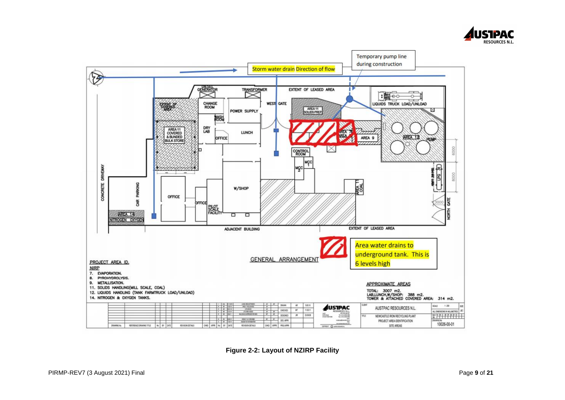



<span id="page-8-0"></span>**Figure 2-2: Layout of NZIRP Facility**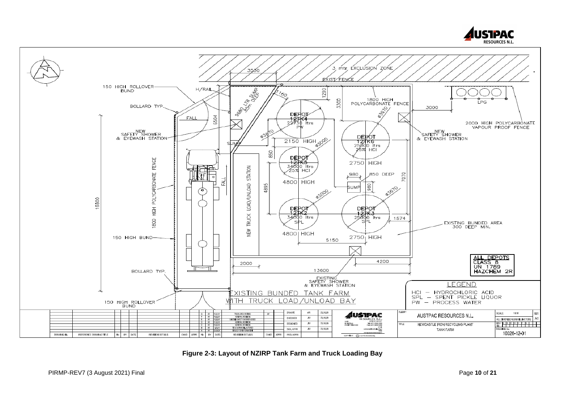

<span id="page-9-0"></span>**Figure 2-3: Layout of NZIRP Tank Farm and Truck Loading Bay**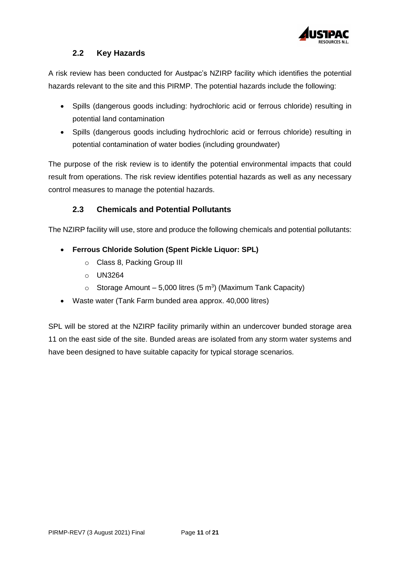

## **2.2 Key Hazards**

<span id="page-10-0"></span>A risk review has been conducted for Austpac's NZIRP facility which identifies the potential hazards relevant to the site and this PIRMP. The potential hazards include the following:

- Spills (dangerous goods including: hydrochloric acid or ferrous chloride) resulting in potential land contamination
- Spills (dangerous goods including hydrochloric acid or ferrous chloride) resulting in potential contamination of water bodies (including groundwater)

The purpose of the risk review is to identify the potential environmental impacts that could result from operations. The risk review identifies potential hazards as well as any necessary control measures to manage the potential hazards.

## **2.3 Chemicals and Potential Pollutants**

<span id="page-10-1"></span>The NZIRP facility will use, store and produce the following chemicals and potential pollutants:

### • **Ferrous Chloride Solution (Spent Pickle Liquor: SPL)**

- o Class 8, Packing Group III
- o UN3264
- Storage Amount 5,000 litres (5 m<sup>3</sup>) (Maximum Tank Capacity)
- Waste water (Tank Farm bunded area approx. 40,000 litres)

<span id="page-10-2"></span>SPL will be stored at the NZIRP facility primarily within an undercover bunded storage area 11 on the east side of the site. Bunded areas are isolated from any storm water systems and have been designed to have suitable capacity for typical storage scenarios.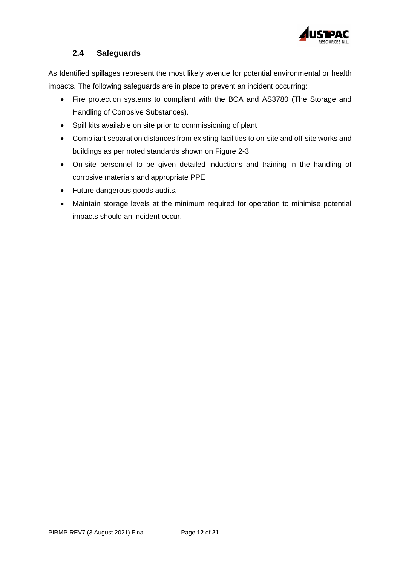

## **2.4 Safeguards**

As Identified spillages represent the most likely avenue for potential environmental or health impacts. The following safeguards are in place to prevent an incident occurring:

- Fire protection systems to compliant with the BCA and AS3780 (The Storage and Handling of Corrosive Substances).
- Spill kits available on site prior to commissioning of plant
- Compliant separation distances from existing facilities to on-site and off-site works and buildings as per noted standards shown on [Figure 2-3](#page-9-0)
- On-site personnel to be given detailed inductions and training in the handling of corrosive materials and appropriate PPE
- Future dangerous goods audits.
- <span id="page-11-0"></span>• Maintain storage levels at the minimum required for operation to minimise potential impacts should an incident occur.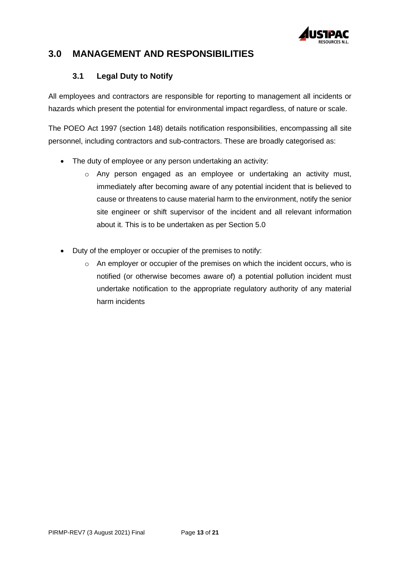

## **3.0 MANAGEMENT AND RESPONSIBILITIES**

### **3.1 Legal Duty to Notify**

<span id="page-12-0"></span>All employees and contractors are responsible for reporting to management all incidents or hazards which present the potential for environmental impact regardless, of nature or scale.

The POEO Act 1997 (section 148) details notification responsibilities, encompassing all site personnel, including contractors and sub-contractors. These are broadly categorised as:

- The duty of employee or any person undertaking an activity:
	- $\circ$  Any person engaged as an employee or undertaking an activity must, immediately after becoming aware of any potential incident that is believed to cause or threatens to cause material harm to the environment, notify the senior site engineer or shift supervisor of the incident and all relevant information about it. This is to be undertaken as per Section [5.0](#page-14-0)
- <span id="page-12-1"></span>• Duty of the employer or occupier of the premises to notify:
	- o An employer or occupier of the premises on which the incident occurs, who is notified (or otherwise becomes aware of) a potential pollution incident must undertake notification to the appropriate regulatory authority of any material harm incidents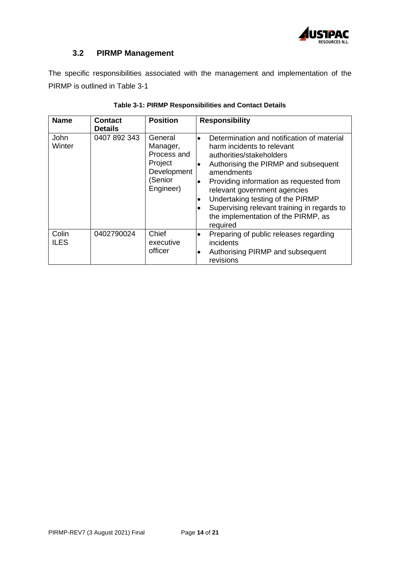

## **3.2 PIRMP Management**

The specific responsibilities associated with the management and implementation of the PIRMP is outlined in [Table 3-1](#page-13-1)

<span id="page-13-1"></span><span id="page-13-0"></span>

| <b>Name</b>          | <b>Contact</b><br><b>Details</b> | <b>Position</b>                                                                      | <b>Responsibility</b>                                                                                                                                                                                                                                                                                                                                                                                                           |
|----------------------|----------------------------------|--------------------------------------------------------------------------------------|---------------------------------------------------------------------------------------------------------------------------------------------------------------------------------------------------------------------------------------------------------------------------------------------------------------------------------------------------------------------------------------------------------------------------------|
| John<br>Winter       | 0407 892 343                     | General<br>Manager,<br>Process and<br>Project<br>Development<br>(Senior<br>Engineer) | Determination and notification of material<br>$\bullet$<br>harm incidents to relevant<br>authorities/stakeholders<br>Authorising the PIRMP and subsequent<br>$\bullet$<br>amendments<br>Providing information as requested from<br>$\bullet$<br>relevant government agencies<br>Undertaking testing of the PIRMP<br>$\bullet$<br>Supervising relevant training in regards to<br>the implementation of the PIRMP, as<br>required |
| Colin<br><b>ILES</b> | 0402790024                       | Chief<br>executive<br>officer                                                        | Preparing of public releases regarding<br>incidents<br>Authorising PIRMP and subsequent<br>$\bullet$<br>revisions                                                                                                                                                                                                                                                                                                               |

|  |  | Table 3-1: PIRMP Responsibilities and Contact Details |  |  |
|--|--|-------------------------------------------------------|--|--|
|  |  |                                                       |  |  |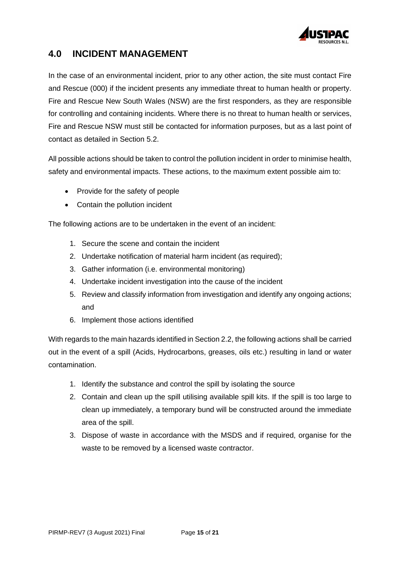

## **4.0 INCIDENT MANAGEMENT**

In the case of an environmental incident, prior to any other action, the site must contact Fire and Rescue (000) if the incident presents any immediate threat to human health or property. Fire and Rescue New South Wales (NSW) are the first responders, as they are responsible for controlling and containing incidents. Where there is no threat to human health or services, Fire and Rescue NSW must still be contacted for information purposes, but as a last point of contact as detailed in Section [5.2.](#page-15-1)

All possible actions should be taken to control the pollution incident in order to minimise health, safety and environmental impacts. These actions, to the maximum extent possible aim to:

- Provide for the safety of people
- Contain the pollution incident

The following actions are to be undertaken in the event of an incident:

- 1. Secure the scene and contain the incident
- 2. Undertake notification of material harm incident (as required);
- 3. Gather information (i.e. environmental monitoring)
- 4. Undertake incident investigation into the cause of the incident
- 5. Review and classify information from investigation and identify any ongoing actions; and
- 6. Implement those actions identified

With regards to the main hazards identified in Section [2.2,](#page-10-0) the following actions shall be carried out in the event of a spill (Acids, Hydrocarbons, greases, oils etc.) resulting in land or water contamination.

- 1. Identify the substance and control the spill by isolating the source
- 2. Contain and clean up the spill utilising available spill kits. If the spill is too large to clean up immediately, a temporary bund will be constructed around the immediate area of the spill.
- <span id="page-14-0"></span>3. Dispose of waste in accordance with the MSDS and if required, organise for the waste to be removed by a licensed waste contractor.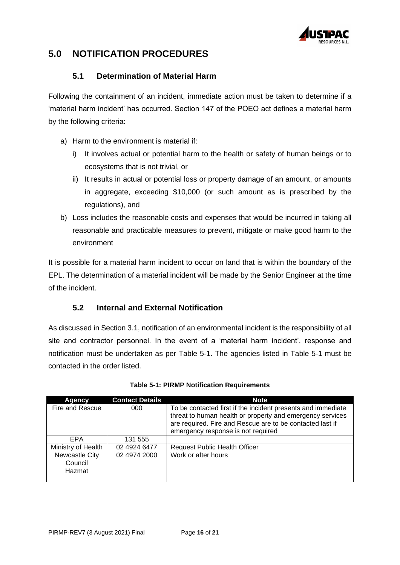

## **5.0 NOTIFICATION PROCEDURES**

#### **5.1 Determination of Material Harm**

<span id="page-15-0"></span>Following the containment of an incident, immediate action must be taken to determine if a 'material harm incident' has occurred. Section 147 of the POEO act defines a material harm by the following criteria:

- a) Harm to the environment is material if:
	- i) It involves actual or potential harm to the health or safety of human beings or to ecosystems that is not trivial, or
	- ii) It results in actual or potential loss or property damage of an amount, or amounts in aggregate, exceeding \$10,000 (or such amount as is prescribed by the regulations), and
- b) Loss includes the reasonable costs and expenses that would be incurred in taking all reasonable and practicable measures to prevent, mitigate or make good harm to the environment

It is possible for a material harm incident to occur on land that is within the boundary of the EPL. The determination of a material incident will be made by the Senior Engineer at the time of the incident.

#### **5.2 Internal and External Notification**

<span id="page-15-1"></span>As discussed in Section [3.1,](#page-12-0) notification of an environmental incident is the responsibility of all site and contractor personnel. In the event of a 'material harm incident', response and notification must be undertaken as per [Table 5-1.](#page-15-2) The agencies listed in [Table 5-1](#page-15-2) must be contacted in the order listed.

<span id="page-15-2"></span>

| Agency             | <b>Contact Details</b> | <b>Note</b>                                                                                                               |
|--------------------|------------------------|---------------------------------------------------------------------------------------------------------------------------|
| Fire and Rescue    | 000                    | To be contacted first if the incident presents and immediate<br>threat to human health or property and emergency services |
|                    |                        | are required. Fire and Rescue are to be contacted last if                                                                 |
|                    |                        | emergency response is not required                                                                                        |
| <b>EPA</b>         | 131 555                |                                                                                                                           |
| Ministry of Health | 02 4924 6477           | <b>Request Public Health Officer</b>                                                                                      |
| Newcastle City     | 02 4974 2000           | Work or after hours                                                                                                       |
| Council            |                        |                                                                                                                           |
| Hazmat             |                        |                                                                                                                           |
|                    |                        |                                                                                                                           |

|  | <b>Table 5-1: PIRMP Notification Requirements</b> |  |
|--|---------------------------------------------------|--|
|  |                                                   |  |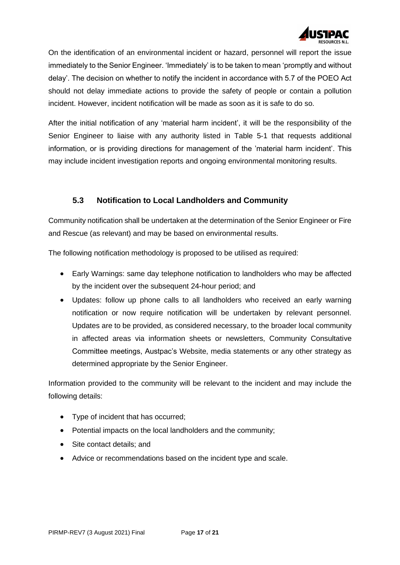

On the identification of an environmental incident or hazard, personnel will report the issue immediately to the Senior Engineer. 'Immediately' is to be taken to mean 'promptly and without delay'. The decision on whether to notify the incident in accordance with 5.7 of the POEO Act should not delay immediate actions to provide the safety of people or contain a pollution incident. However, incident notification will be made as soon as it is safe to do so.

After the initial notification of any 'material harm incident', it will be the responsibility of the Senior Engineer to liaise with any authority listed in [Table 5-1](#page-15-2) that requests additional information, or is providing directions for management of the 'material harm incident'. This may include incident investigation reports and ongoing environmental monitoring results.

#### **5.3 Notification to Local Landholders and Community**

<span id="page-16-0"></span>Community notification shall be undertaken at the determination of the Senior Engineer or Fire and Rescue (as relevant) and may be based on environmental results.

The following notification methodology is proposed to be utilised as required:

- Early Warnings: same day telephone notification to landholders who may be affected by the incident over the subsequent 24-hour period; and
- Updates: follow up phone calls to all landholders who received an early warning notification or now require notification will be undertaken by relevant personnel. Updates are to be provided, as considered necessary, to the broader local community in affected areas via information sheets or newsletters, Community Consultative Committee meetings, Austpac's Website, media statements or any other strategy as determined appropriate by the Senior Engineer.

Information provided to the community will be relevant to the incident and may include the following details:

- Type of incident that has occurred;
- Potential impacts on the local landholders and the community;
- Site contact details: and
- <span id="page-16-1"></span>• Advice or recommendations based on the incident type and scale.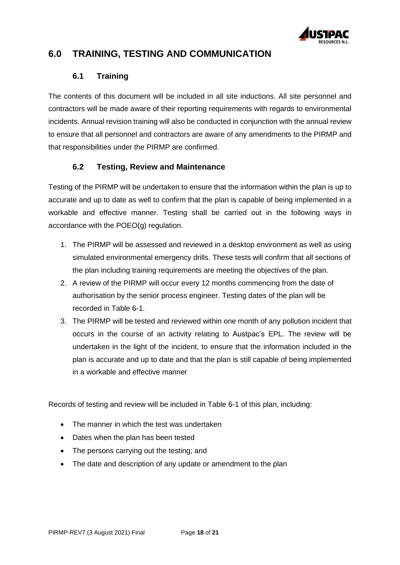

## **6.0 TRAINING, TESTING AND COMMUNICATION**

#### **6.1 Training**

<span id="page-17-0"></span>The contents of this document will be included in all site inductions. All site personnel and contractors will be made aware of their reporting requirements with regards to environmental incidents. Annual revision training will also be conducted in conjunction with the annual review to ensure that all personnel and contractors are aware of any amendments to the PIRMP and that responsibilities under the PIRMP are confirmed.

### **6.2 Testing, Review and Maintenance**

<span id="page-17-1"></span>Testing of the PIRMP will be undertaken to ensure that the information within the plan is up to accurate and up to date as well to confirm that the plan is capable of being implemented in a workable and effective manner. Testing shall be carried out in the following ways in accordance with the POEO(g) regulation.

- 1. The PIRMP will be assessed and reviewed in a desktop environment as well as using simulated environmental emergency drills. These tests will confirm that all sections of the plan including training requirements are meeting the objectives of the plan.
- 2. A review of the PIRMP will occur every 12 months commencing from the date of authorisation by the senior process engineer. Testing dates of the plan will be recorded in Table 6-1.
- 3. The PIRMP will be tested and reviewed within one month of any pollution incident that occurs in the course of an activity relating to Austpac's EPL. The review will be undertaken in the light of the incident, to ensure that the information included in the plan is accurate and up to date and that the plan is still capable of being implemented in a workable and effective manner

Records of testing and review will be included in [Table 6-1](#page-18-1) of this plan, including:

- The manner in which the test was undertaken
- Dates when the plan has been tested
- The persons carrying out the testing; and
- The date and description of any update or amendment to the plan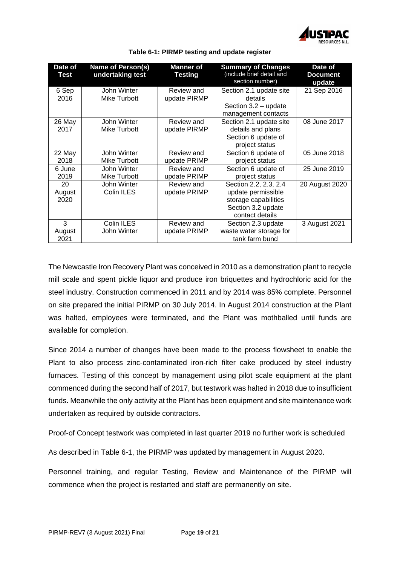

<span id="page-18-1"></span>

| Date of<br>Test | <b>Name of Person(s)</b><br>undertaking test | <b>Manner of</b><br><b>Testing</b> | <b>Summary of Changes</b><br>(include brief detail and<br>section number) | Date of<br><b>Document</b><br>update |
|-----------------|----------------------------------------------|------------------------------------|---------------------------------------------------------------------------|--------------------------------------|
| 6 Sep           | John Winter                                  | Review and                         | Section 2.1 update site                                                   | 21 Sep 2016                          |
| 2016            | Mike Turbott                                 | update PIRMP                       | details                                                                   |                                      |
|                 |                                              |                                    | Section 3.2 - update                                                      |                                      |
|                 |                                              |                                    | management contacts                                                       |                                      |
| 26 May          | John Winter                                  | Review and                         | Section 2.1 update site                                                   | 08 June 2017                         |
| 2017            | Mike Turbott                                 | update PIRMP                       | details and plans                                                         |                                      |
|                 |                                              |                                    | Section 6 update of                                                       |                                      |
|                 |                                              |                                    | project status                                                            |                                      |
| 22 May          | John Winter                                  | Review and                         | Section 6 update of                                                       | 05 June 2018                         |
| 2018            | Mike Turbott                                 | update PRIMP                       | project status                                                            |                                      |
| 6 June          | John Winter                                  | Review and                         | Section 6 update of                                                       | 25 June 2019                         |
| 2019            | Mike Turbott                                 | update PRIMP                       | project status                                                            |                                      |
| 20              | John Winter                                  | Review and                         | Section 2.2, 2.3, 2.4                                                     | 20 August 2020                       |
| August          | Colin ILES                                   | update PRIMP                       | update permissible                                                        |                                      |
| 2020            |                                              |                                    | storage capabilities                                                      |                                      |
|                 |                                              |                                    | Section 3.2 update                                                        |                                      |
|                 |                                              |                                    | contact details                                                           |                                      |
| 3               | Colin ILES                                   | Review and                         | Section 2.3 update                                                        | 3 August 2021                        |
| August          | John Winter                                  | update PRIMP                       | waste water storage for                                                   |                                      |
| 2021            |                                              |                                    | tank farm bund                                                            |                                      |

**Table 6-1: PIRMP testing and update register**

The Newcastle Iron Recovery Plant was conceived in 2010 as a demonstration plant to recycle mill scale and spent pickle liquor and produce iron briquettes and hydrochloric acid for the steel industry. Construction commenced in 2011 and by 2014 was 85% complete. Personnel on site prepared the initial PIRMP on 30 July 2014. In August 2014 construction at the Plant was halted, employees were terminated, and the Plant was mothballed until funds are available for completion.

Since 2014 a number of changes have been made to the process flowsheet to enable the Plant to also process zinc-contaminated iron-rich filter cake produced by steel industry furnaces. Testing of this concept by management using pilot scale equipment at the plant commenced during the second half of 2017, but testwork was halted in 2018 due to insufficient funds. Meanwhile the only activity at the Plant has been equipment and site maintenance work undertaken as required by outside contractors.

Proof-of Concept testwork was completed in last quarter 2019 no further work is scheduled

As described in Table 6-1, the PIRMP was updated by management in August 2020.

<span id="page-18-0"></span>Personnel training, and regular Testing, Review and Maintenance of the PIRMP will commence when the project is restarted and staff are permanently on site.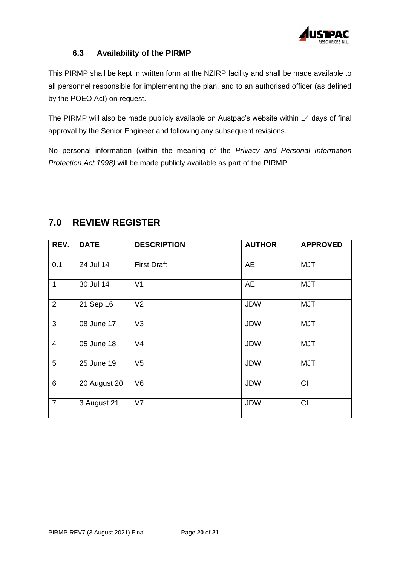

#### **6.3 Availability of the PIRMP**

This PIRMP shall be kept in written form at the NZIRP facility and shall be made available to all personnel responsible for implementing the plan, and to an authorised officer (as defined by the POEO Act) on request.

The PIRMP will also be made publicly available on Austpac's website within 14 days of final approval by the Senior Engineer and following any subsequent revisions.

No personal information (within the meaning of the *Privacy and Personal Information Protection Act 1998)* will be made publicly available as part of the PIRMP.

| REV.                     | <b>DATE</b>  | <b>DESCRIPTION</b> | <b>AUTHOR</b> | <b>APPROVED</b> |
|--------------------------|--------------|--------------------|---------------|-----------------|
| 0.1                      | 24 Jul 14    | <b>First Draft</b> | AE            | <b>MJT</b>      |
| $\mathbf{1}$             | 30 Jul 14    | V <sub>1</sub>     | AE            | <b>MJT</b>      |
| $\overline{2}$           | 21 Sep 16    | V <sub>2</sub>     | <b>JDW</b>    | <b>MJT</b>      |
| 3                        | 08 June 17   | V <sub>3</sub>     | <b>JDW</b>    | <b>MJT</b>      |
| $\overline{\mathcal{A}}$ | 05 June 18   | V <sub>4</sub>     | <b>JDW</b>    | <b>MJT</b>      |
| 5                        | 25 June 19   | V <sub>5</sub>     | <b>JDW</b>    | <b>MJT</b>      |
| 6                        | 20 August 20 | V <sub>6</sub>     | <b>JDW</b>    | CI              |
| $\overline{7}$           | 3 August 21  | V <sub>7</sub>     | <b>JDW</b>    | CI              |

## <span id="page-19-0"></span>**7.0 REVIEW REGISTER**